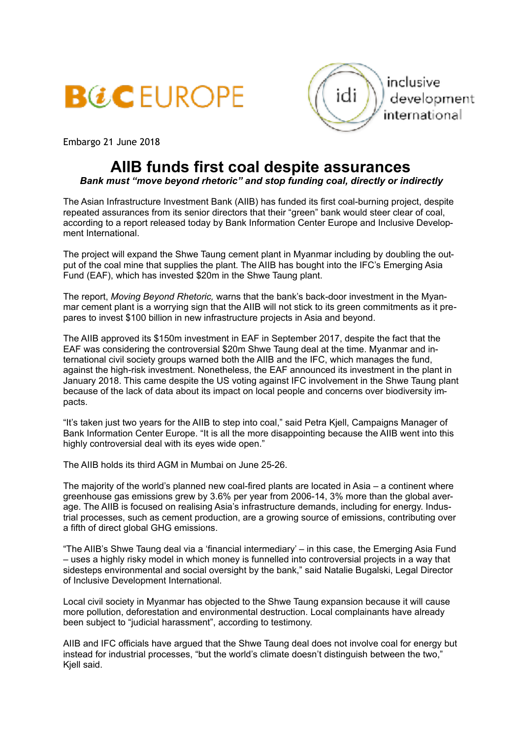



Embargo 21 June 2018

## **AIIB funds first coal despite assurances**

## *Bank must "move beyond rhetoric" and stop funding coal, directly or indirectly*

The Asian Infrastructure Investment Bank (AIIB) has funded its first coal-burning project, despite repeated assurances from its senior directors that their "green" bank would steer clear of coal, according to a report released today by Bank Information Center Europe and Inclusive Development International.

The project will expand the Shwe Taung cement plant in Myanmar including by doubling the output of the coal mine that supplies the plant. The AIIB has bought into the IFC's Emerging Asia Fund (EAF), which has invested \$20m in the Shwe Taung plant.

The report, *Moving Beyond Rhetoric,* warns that the bank's back-door investment in the Myanmar cement plant is a worrying sign that the AIIB will not stick to its green commitments as it prepares to invest \$100 billion in new infrastructure projects in Asia and beyond.

The AIIB approved its \$150m investment in EAF in September 2017, despite the fact that the EAF was considering the controversial \$20m Shwe Taung deal at the time. Myanmar and international civil society groups warned both the AIIB and the IFC, which manages the fund, against the high-risk investment. Nonetheless, the EAF announced its investment in the plant in January 2018. This came despite the US voting against IFC involvement in the Shwe Taung plant because of the lack of data about its impact on local people and concerns over biodiversity impacts.

"It's taken just two years for the AIIB to step into coal," said Petra Kjell, Campaigns Manager of Bank Information Center Europe. "It is all the more disappointing because the AIIB went into this highly controversial deal with its eyes wide open."

The AIIB holds its third AGM in Mumbai on June 25-26.

The majority of the world's planned new coal-fired plants are located in Asia – a continent where greenhouse gas emissions grew by 3.6% per year from 2006-14, 3% more than the global average. The AIIB is focused on realising Asia's infrastructure demands, including for energy. Industrial processes, such as cement production, are a growing source of emissions, contributing over a fifth of direct global GHG emissions.

"The AIIB's Shwe Taung deal via a 'financial intermediary' – in this case, the Emerging Asia Fund – uses a highly risky model in which money is funnelled into controversial projects in a way that sidesteps environmental and social oversight by the bank," said Natalie Bugalski, Legal Director of Inclusive Development International.

Local civil society in Myanmar has objected to the Shwe Taung expansion because it will cause more pollution, deforestation and environmental destruction. Local complainants have already been subject to "judicial harassment", according to testimony.

AIIB and IFC officials have argued that the Shwe Taung deal does not involve coal for energy but instead for industrial processes, "but the world's climate doesn't distinguish between the two," Kjell said.